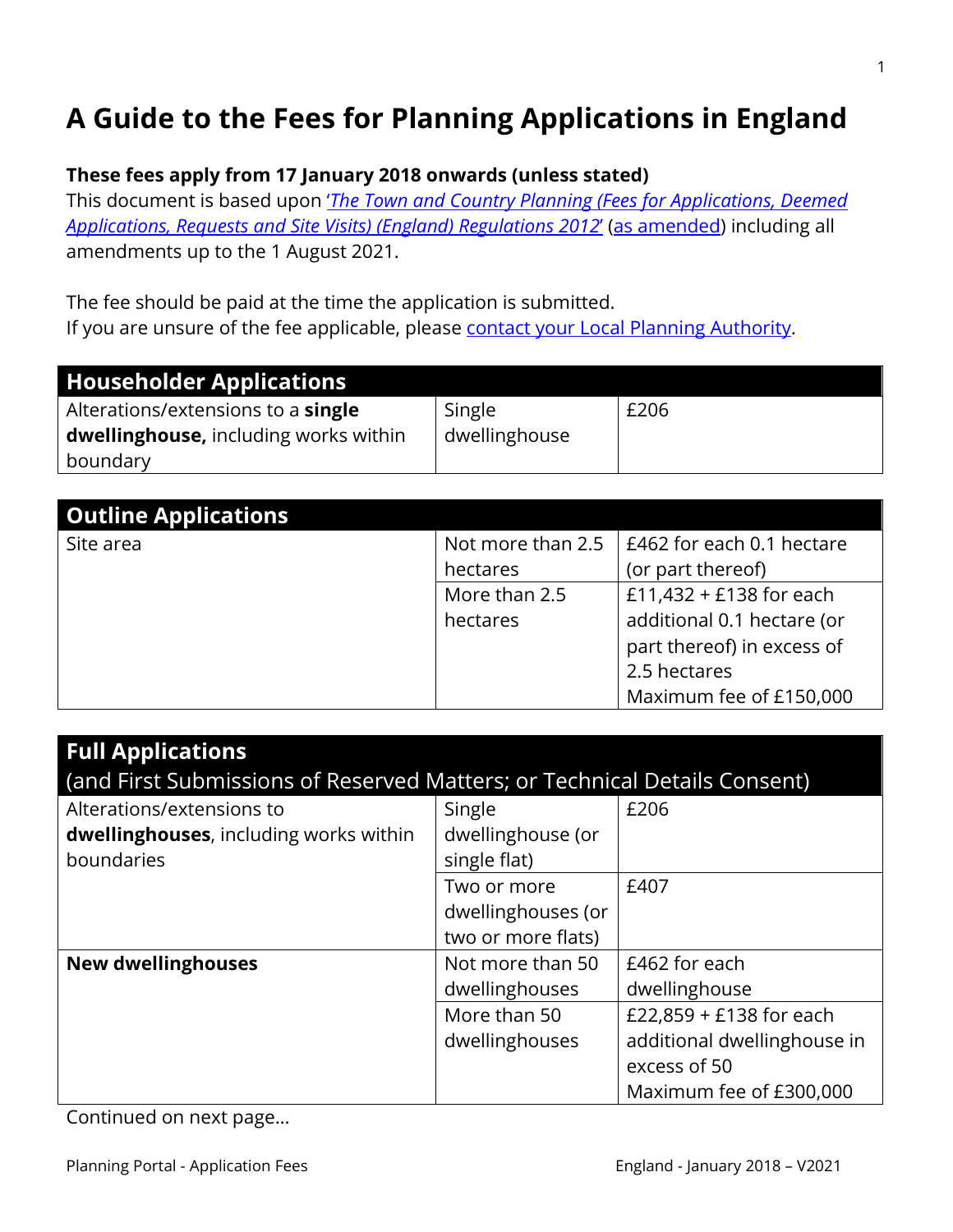# **A Guide to the Fees for Planning Applications in England**

### **These fees apply from 17 January 2018 onwards (unless stated)**

This document is based upon '*[The Town and Country Planning \(Fees for Applications, Deemed](https://www.legislation.gov.uk/uksi/2012/2920/contents)  [Applications, Requests and Site Visits\) \(England\) Regulations 2012](https://www.legislation.gov.uk/uksi/2012/2920/contents)*' [\(as amended\)](http://www.legislation.gov.uk/changes/affected/uksi/2012/2920) including all amendments up to the 1 August 2021.

The fee should be paid at the time the application is submitted. If you are unsure of the fee applicable, please [contact your Local Planning Authority.](https://1app.planningportal.co.uk/YourLpa/FindYourLpa)

| <b>Householder Applications</b>           |               |      |
|-------------------------------------------|---------------|------|
| Alterations/extensions to a <b>single</b> | Single        | £206 |
| dwellinghouse, including works within     | dwellinghouse |      |
| boundary                                  |               |      |

| <b>Outline Applications</b> |                   |                            |
|-----------------------------|-------------------|----------------------------|
| Site area                   | Not more than 2.5 | E462 for each 0.1 hectare  |
|                             | hectares          | (or part thereof)          |
|                             | More than 2.5     | £11,432 + £138 for each    |
|                             | hectares          | additional 0.1 hectare (or |
|                             |                   | part thereof) in excess of |
|                             |                   | 2.5 hectares               |
|                             |                   | Maximum fee of £150,000    |

| <b>Full Applications</b><br>(and First Submissions of Reserved Matters; or Technical Details Consent) |                                                         |                                                                                                   |
|-------------------------------------------------------------------------------------------------------|---------------------------------------------------------|---------------------------------------------------------------------------------------------------|
| Alterations/extensions to<br>dwellinghouses, including works within<br>boundaries                     | Single<br>dwellinghouse (or<br>single flat)             | £206                                                                                              |
|                                                                                                       | Two or more<br>dwellinghouses (or<br>two or more flats) | £407                                                                                              |
| <b>New dwellinghouses</b>                                                                             | Not more than 50<br>dwellinghouses                      | £462 for each<br>dwellinghouse                                                                    |
|                                                                                                       | More than 50<br>dwellinghouses                          | £22,859 + £138 for each<br>additional dwellinghouse in<br>excess of 50<br>Maximum fee of £300,000 |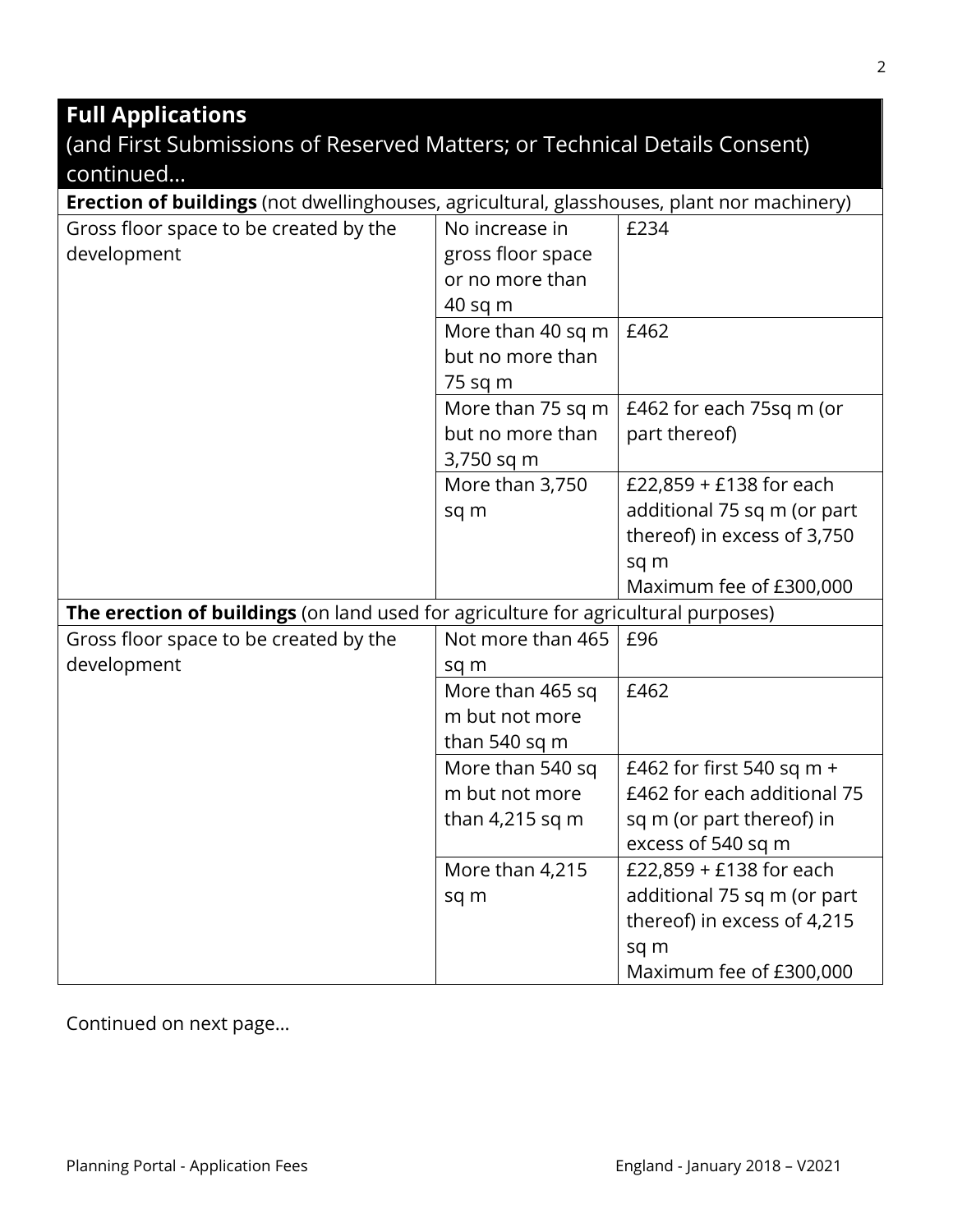# **Full Applications**

| (and First Submissions of Reserved Matters; or Technical Details Consent) |  |  |
|---------------------------------------------------------------------------|--|--|
| continued                                                                 |  |  |

| Erection of buildings (not dwellinghouses, agricultural, glasshouses, plant nor machinery) |                   |                             |
|--------------------------------------------------------------------------------------------|-------------------|-----------------------------|
| Gross floor space to be created by the                                                     | No increase in    | £234                        |
| development                                                                                | gross floor space |                             |
|                                                                                            | or no more than   |                             |
|                                                                                            | 40 sq m           |                             |
|                                                                                            | More than 40 sq m | £462                        |
|                                                                                            | but no more than  |                             |
|                                                                                            | 75 sq m           |                             |
|                                                                                            | More than 75 sq m | £462 for each 75sq m (or    |
|                                                                                            | but no more than  | part thereof)               |
|                                                                                            | 3,750 sq m        |                             |
|                                                                                            | More than 3,750   | £22,859 + £138 for each     |
|                                                                                            | sq m              | additional 75 sq m (or part |
|                                                                                            |                   | thereof) in excess of 3,750 |
|                                                                                            |                   | sq m                        |
|                                                                                            |                   | Maximum fee of £300,000     |
| The erection of buildings (on land used for agriculture for agricultural purposes)         |                   |                             |
| Gross floor space to be created by the                                                     | Not more than 465 | £96                         |
| development                                                                                | sq m              |                             |
|                                                                                            | More than 465 sq  | £462                        |
|                                                                                            | m but not more    |                             |
|                                                                                            | than 540 sq m     |                             |
|                                                                                            | More than 540 sq  | £462 for first 540 sq m +   |
|                                                                                            | m but not more    | £462 for each additional 75 |
|                                                                                            | than $4,215$ sq m | sq m (or part thereof) in   |
|                                                                                            |                   | excess of 540 sq m          |
|                                                                                            | More than 4,215   | £22,859 + £138 for each     |
|                                                                                            | sq m              | additional 75 sq m (or part |
|                                                                                            |                   | thereof) in excess of 4,215 |
|                                                                                            |                   | sq m                        |
|                                                                                            |                   | Maximum fee of £300,000     |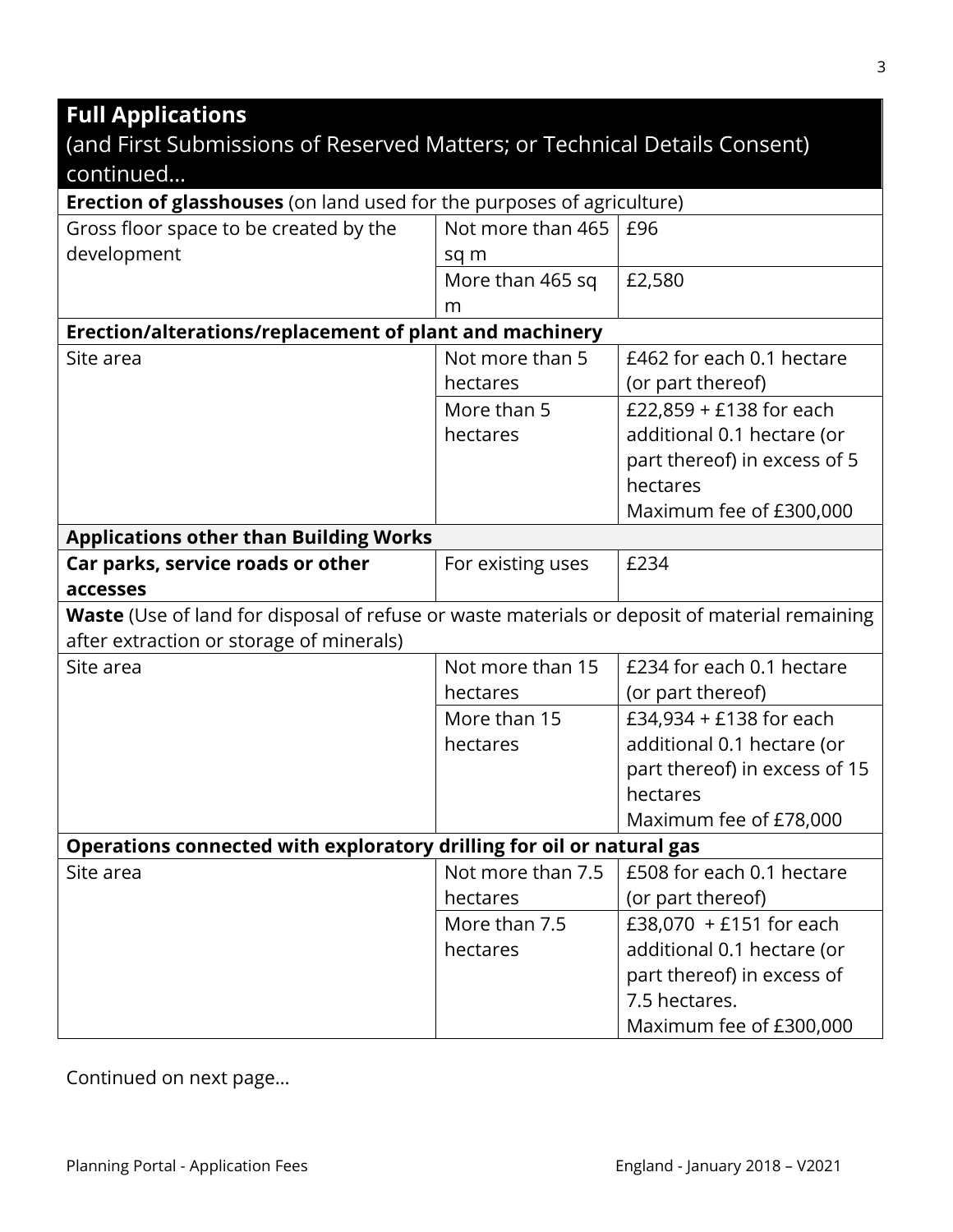#### **Full Applications** (and First Submissions of Reserved Matters; or Technical Details Consent) continued… **Erection of glasshouses** (on land used for the purposes of agriculture) Gross floor space to be created by the development Not more than 465 sq m £96 More than 465 sq m £2,580 **Erection/alterations/replacement of plant and machinery** Site area Not more than 5 hectares £462 for each 0.1 hectare (or part thereof) More than 5 hectares £22,859 + £138 for each additional 0.1 hectare (or part thereof) in excess of 5 hectares Maximum fee of £300,000 **Applications other than Building Works Car parks, service roads or other accesses** For existing uses  $\left| \right.$  £234 **Waste** (Use of land for disposal of refuse or waste materials or deposit of material remaining after extraction or storage of minerals) Site area Not more than 15 hectares £234 for each 0.1 hectare (or part thereof) More than 15 hectares £34,934 + £138 for each additional 0.1 hectare (or part thereof) in excess of 15 hectares Maximum fee of £78,000 **Operations connected with exploratory drilling for oil or natural gas** Site area  $\vert$  Not more than 7.5 hectares £508 for each 0.1 hectare (or part thereof) More than 7.5 hectares £38,070 + £151 for each additional 0.1 hectare (or part thereof) in excess of 7.5 hectares. Maximum fee of £300,000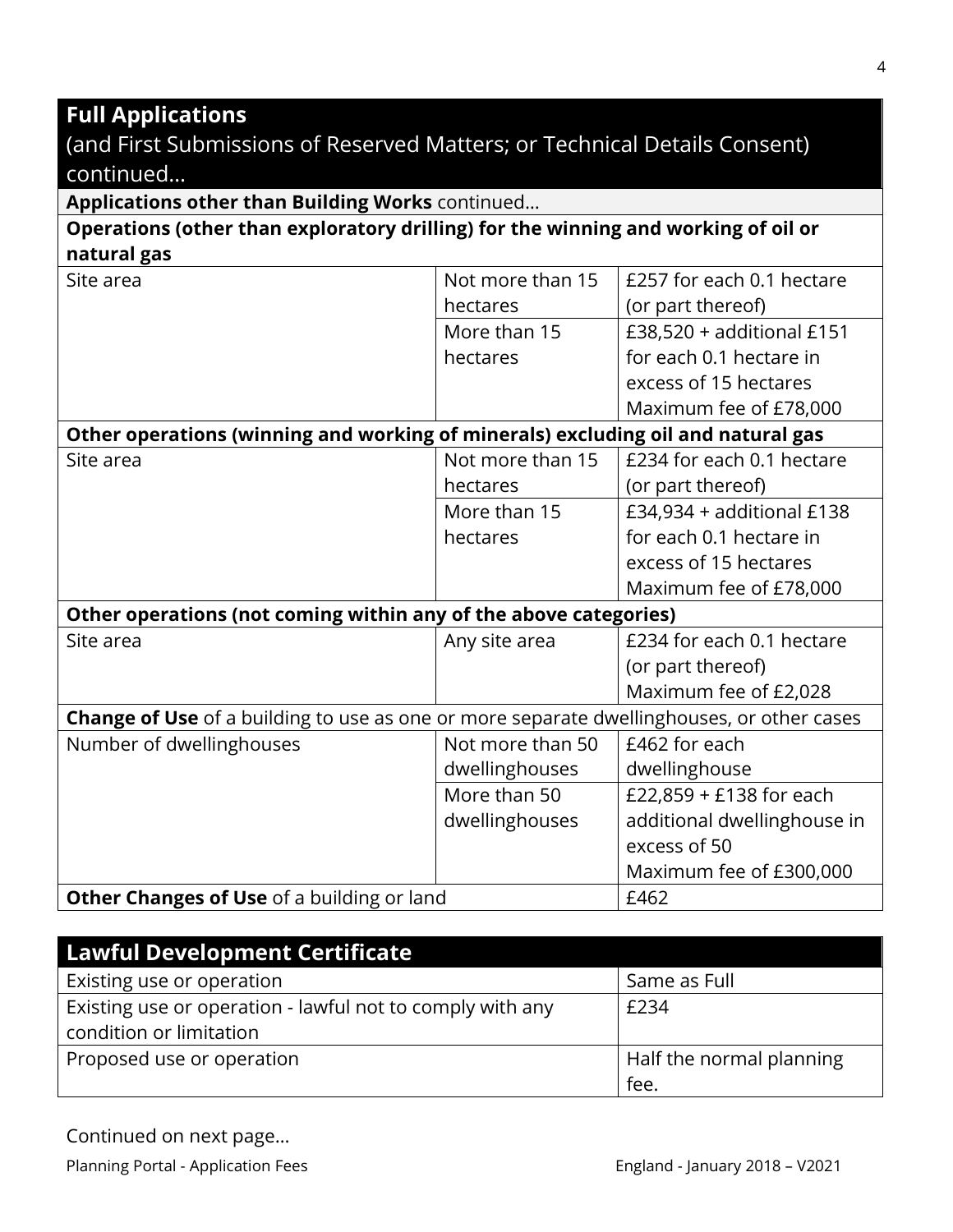# **Full Applications**

# (and First Submissions of Reserved Matters; or Technical Details Consent) continued…

**Applications other than Building Works** continued…

**Operations (other than exploratory drilling) for the winning and working of oil or natural gas**

| Site area                                                                                        | Not more than 15 | £257 for each 0.1 hectare   |
|--------------------------------------------------------------------------------------------------|------------------|-----------------------------|
|                                                                                                  | hectares         | (or part thereof)           |
|                                                                                                  | More than 15     | £38,520 + additional £151   |
|                                                                                                  | hectares         | for each 0.1 hectare in     |
|                                                                                                  |                  | excess of 15 hectares       |
|                                                                                                  |                  | Maximum fee of £78,000      |
| Other operations (winning and working of minerals) excluding oil and natural gas                 |                  |                             |
| Site area                                                                                        | Not more than 15 | £234 for each 0.1 hectare   |
|                                                                                                  | hectares         | (or part thereof)           |
|                                                                                                  | More than 15     | $£34,934 + additional £138$ |
|                                                                                                  | hectares         | for each 0.1 hectare in     |
|                                                                                                  |                  | excess of 15 hectares       |
|                                                                                                  |                  | Maximum fee of £78,000      |
| Other operations (not coming within any of the above categories)                                 |                  |                             |
| Site area                                                                                        | Any site area    | £234 for each 0.1 hectare   |
|                                                                                                  |                  | (or part thereof)           |
|                                                                                                  |                  | Maximum fee of £2,028       |
| <b>Change of Use</b> of a building to use as one or more separate dwellinghouses, or other cases |                  |                             |
| Number of dwellinghouses                                                                         | Not more than 50 | £462 for each               |
|                                                                                                  | dwellinghouses   | dwellinghouse               |
|                                                                                                  | More than 50     | £22,859 + £138 for each     |
|                                                                                                  | dwellinghouses   | additional dwellinghouse in |
|                                                                                                  |                  | excess of 50                |
|                                                                                                  |                  | Maximum fee of £300,000     |
| Other Changes of Use of a building or land                                                       |                  | £462                        |

| <b>Lawful Development Certificate</b>                     |                          |
|-----------------------------------------------------------|--------------------------|
| Existing use or operation                                 | Same as Full             |
| Existing use or operation - lawful not to comply with any | £234                     |
| condition or limitation                                   |                          |
| Proposed use or operation                                 | Half the normal planning |
|                                                           | fee.                     |

Continued on next page…

Planning Portal - Application Fees **England - January 2018 - V2021**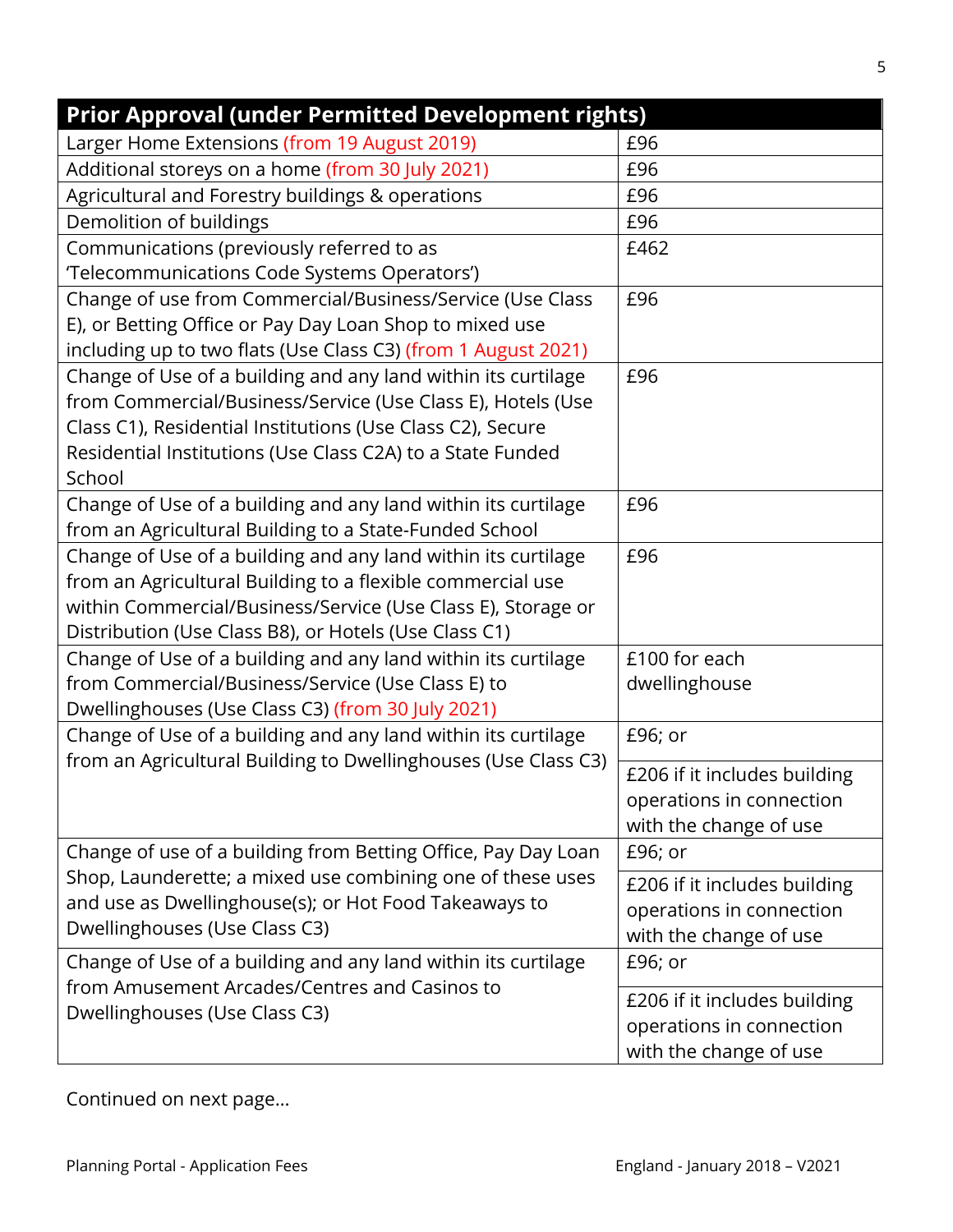| <b>Prior Approval (under Permitted Development rights)</b>                                                                      |                              |
|---------------------------------------------------------------------------------------------------------------------------------|------------------------------|
| Larger Home Extensions (from 19 August 2019)                                                                                    | £96                          |
| Additional storeys on a home (from 30 July 2021)                                                                                | £96                          |
| Agricultural and Forestry buildings & operations                                                                                | £96                          |
| Demolition of buildings                                                                                                         | £96                          |
| Communications (previously referred to as                                                                                       | £462                         |
| 'Telecommunications Code Systems Operators')                                                                                    |                              |
| Change of use from Commercial/Business/Service (Use Class                                                                       | £96                          |
| E), or Betting Office or Pay Day Loan Shop to mixed use                                                                         |                              |
| including up to two flats (Use Class C3) (from 1 August 2021)                                                                   |                              |
| Change of Use of a building and any land within its curtilage                                                                   | £96                          |
| from Commercial/Business/Service (Use Class E), Hotels (Use                                                                     |                              |
| Class C1), Residential Institutions (Use Class C2), Secure                                                                      |                              |
| Residential Institutions (Use Class C2A) to a State Funded                                                                      |                              |
| School                                                                                                                          |                              |
| Change of Use of a building and any land within its curtilage                                                                   | £96                          |
| from an Agricultural Building to a State-Funded School                                                                          |                              |
| Change of Use of a building and any land within its curtilage                                                                   | £96                          |
| from an Agricultural Building to a flexible commercial use                                                                      |                              |
| within Commercial/Business/Service (Use Class E), Storage or                                                                    |                              |
| Distribution (Use Class B8), or Hotels (Use Class C1)                                                                           |                              |
| Change of Use of a building and any land within its curtilage                                                                   | £100 for each                |
| from Commercial/Business/Service (Use Class E) to                                                                               | dwellinghouse                |
| Dwellinghouses (Use Class C3) (from 30 July 2021)                                                                               |                              |
| Change of Use of a building and any land within its curtilage<br>from an Agricultural Building to Dwellinghouses (Use Class C3) | £96; or                      |
|                                                                                                                                 | £206 if it includes building |
|                                                                                                                                 | operations in connection     |
|                                                                                                                                 | with the change of use       |
| Change of use of a building from Betting Office, Pay Day Loan                                                                   | £96; or                      |
| Shop, Launderette; a mixed use combining one of these uses                                                                      | £206 if it includes building |
| and use as Dwellinghouse(s); or Hot Food Takeaways to                                                                           | operations in connection     |
| Dwellinghouses (Use Class C3)                                                                                                   | with the change of use       |
| Change of Use of a building and any land within its curtilage                                                                   | £96; or                      |
| from Amusement Arcades/Centres and Casinos to                                                                                   | £206 if it includes building |
| Dwellinghouses (Use Class C3)                                                                                                   | operations in connection     |
|                                                                                                                                 | with the change of use       |

Continued on next page…

5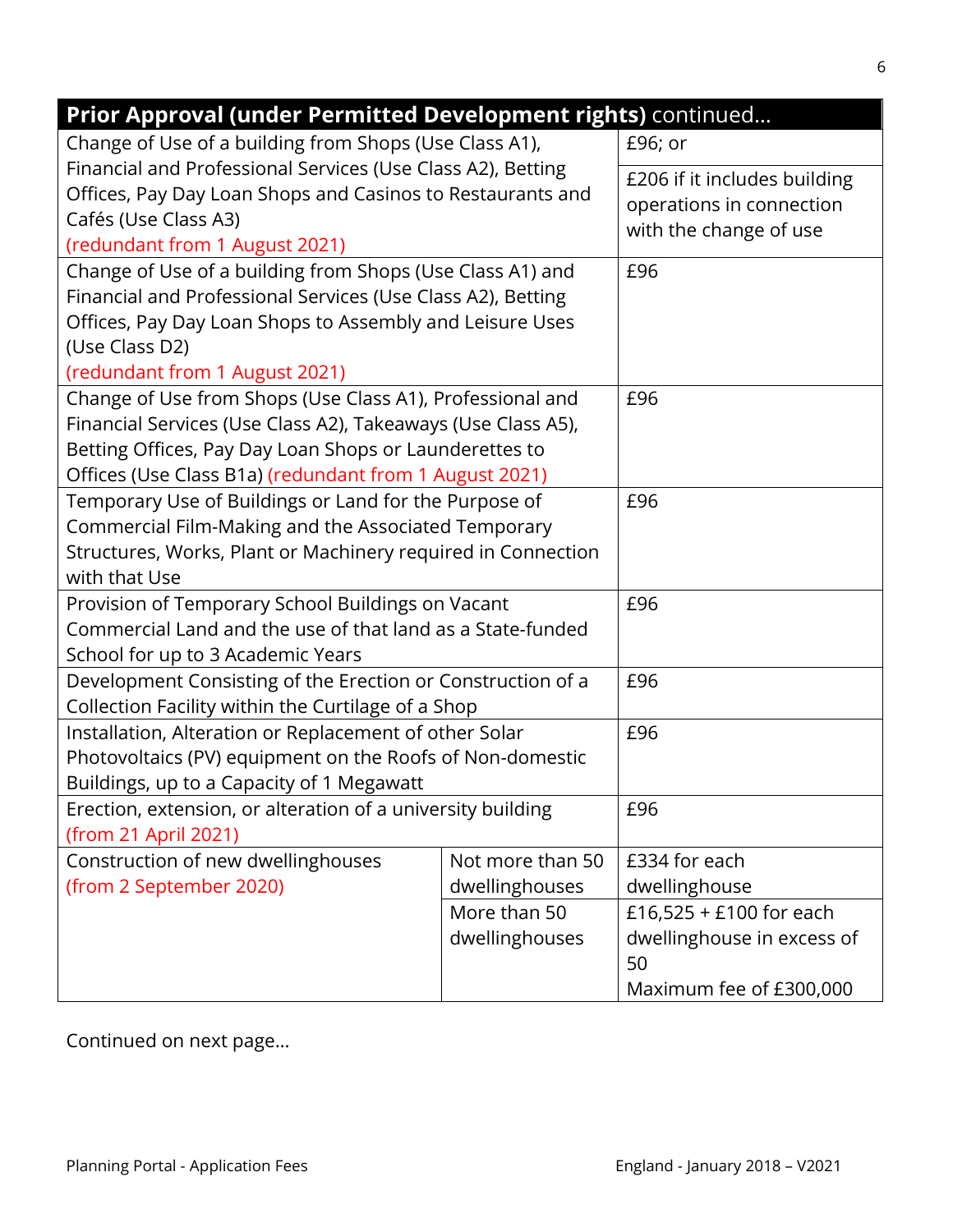| Prior Approval (under Permitted Development rights) continued |                  |                                  |
|---------------------------------------------------------------|------------------|----------------------------------|
| Change of Use of a building from Shops (Use Class A1),        |                  | £96; or                          |
| Financial and Professional Services (Use Class A2), Betting   |                  | £206 if it includes building     |
| Offices, Pay Day Loan Shops and Casinos to Restaurants and    |                  | operations in connection         |
| Cafés (Use Class A3)                                          |                  | with the change of use           |
| (redundant from 1 August 2021)                                |                  |                                  |
| Change of Use of a building from Shops (Use Class A1) and     |                  | £96                              |
| Financial and Professional Services (Use Class A2), Betting   |                  |                                  |
| Offices, Pay Day Loan Shops to Assembly and Leisure Uses      |                  |                                  |
| (Use Class D2)                                                |                  |                                  |
| (redundant from 1 August 2021)                                |                  |                                  |
| Change of Use from Shops (Use Class A1), Professional and     |                  | £96                              |
| Financial Services (Use Class A2), Takeaways (Use Class A5),  |                  |                                  |
| Betting Offices, Pay Day Loan Shops or Launderettes to        |                  |                                  |
| Offices (Use Class B1a) (redundant from 1 August 2021)        |                  |                                  |
| Temporary Use of Buildings or Land for the Purpose of         |                  | £96                              |
| Commercial Film-Making and the Associated Temporary           |                  |                                  |
| Structures, Works, Plant or Machinery required in Connection  |                  |                                  |
| with that Use                                                 |                  |                                  |
| Provision of Temporary School Buildings on Vacant             |                  | £96                              |
| Commercial Land and the use of that land as a State-funded    |                  |                                  |
| School for up to 3 Academic Years                             |                  |                                  |
| Development Consisting of the Erection or Construction of a   |                  | £96                              |
| Collection Facility within the Curtilage of a Shop            |                  |                                  |
| Installation, Alteration or Replacement of other Solar        |                  | £96                              |
| Photovoltaics (PV) equipment on the Roofs of Non-domestic     |                  |                                  |
| Buildings, up to a Capacity of 1 Megawatt                     |                  |                                  |
| Erection, extension, or alteration of a university building   |                  | £96                              |
| (from 21 April 2021)                                          |                  |                                  |
| Construction of new dwellinghouses                            | Not more than 50 | £334 for each                    |
| (from 2 September 2020)                                       | dwellinghouses   | dwellinghouse                    |
|                                                               | More than 50     | £16,525 + £100 for each          |
|                                                               | dwellinghouses   | dwellinghouse in excess of<br>50 |
|                                                               |                  | Maximum fee of £300,000          |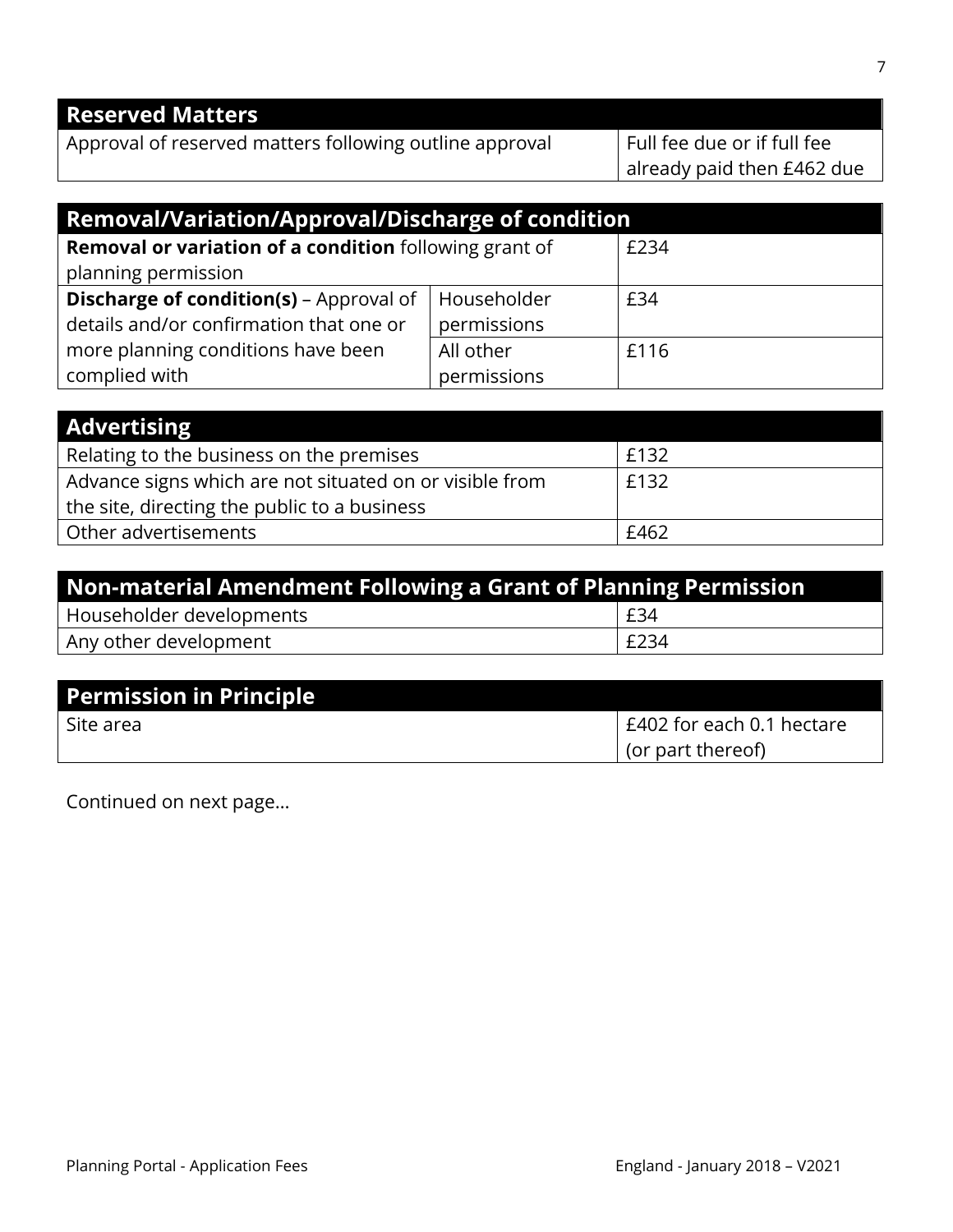# **Reserved Matters**

Approval of reserved matters following outline approval  $\Box$  Full fee due or if full fee

already paid then £462 due

| <b>Removal/Variation/Approval/Discharge of condition</b>      |             |      |
|---------------------------------------------------------------|-------------|------|
| <b>Removal or variation of a condition</b> following grant of |             | £234 |
| planning permission                                           |             |      |
| <b>Discharge of condition(s)</b> - Approval of                | Householder | £34  |
| details and/or confirmation that one or                       | permissions |      |
| more planning conditions have been                            | All other   | £116 |
| complied with                                                 | permissions |      |

| <b>Advertising</b>                                      |      |
|---------------------------------------------------------|------|
| Relating to the business on the premises                | £132 |
| Advance signs which are not situated on or visible from | £132 |
| the site, directing the public to a business            |      |
| Other advertisements                                    | £462 |

| Non-material Amendment Following a Grant of Planning Permission |      |  |
|-----------------------------------------------------------------|------|--|
| Householder developments                                        | £34  |  |
| Any other development                                           | £234 |  |

| Permission in Principle |                           |
|-------------------------|---------------------------|
| Site area               | E402 for each 0.1 hectare |
|                         | (or part thereof)         |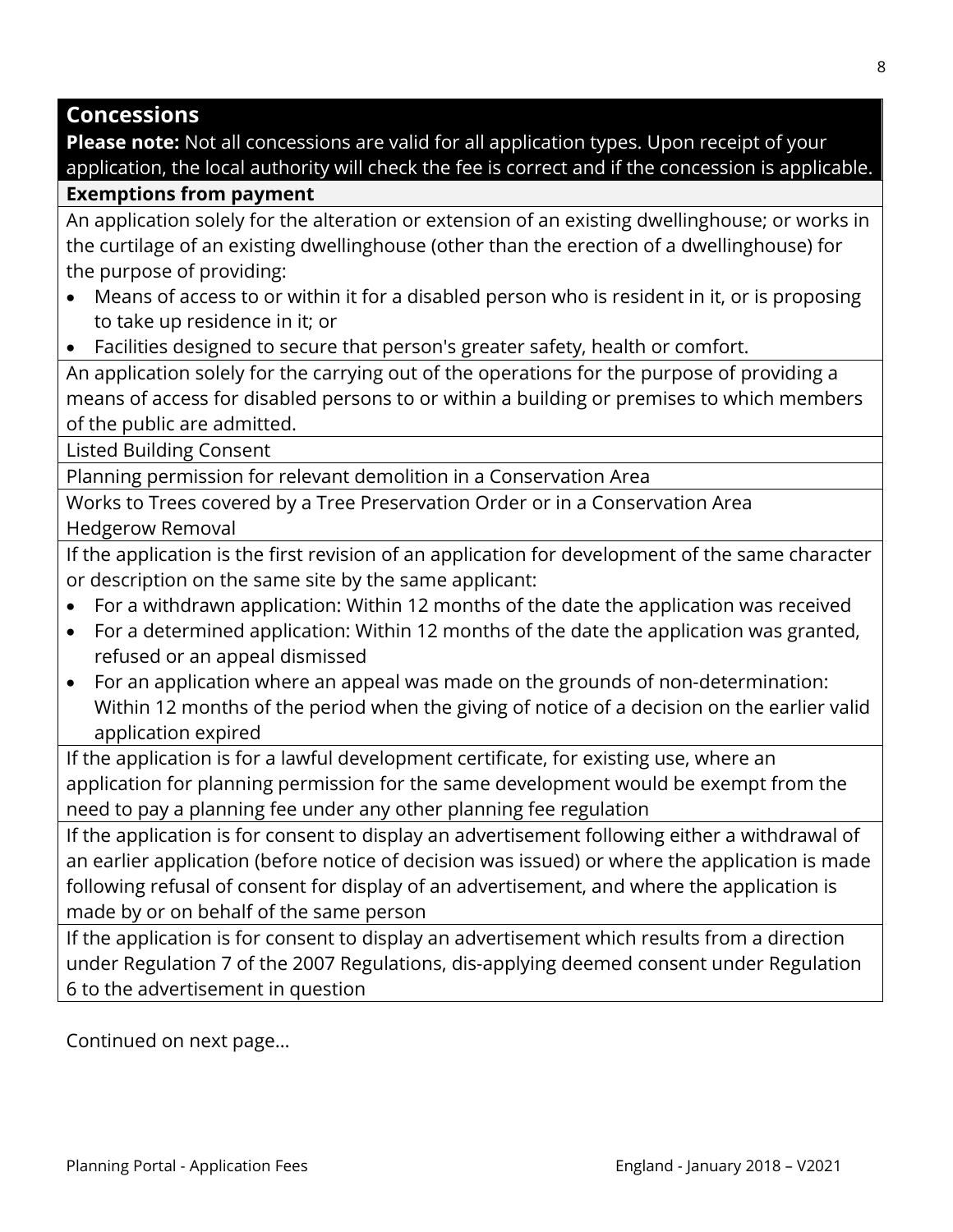### **Concessions**

**Please note:** Not all concessions are valid for all application types. Upon receipt of your application, the local authority will check the fee is correct and if the concession is applicable.

#### **Exemptions from payment**

An application solely for the alteration or extension of an existing dwellinghouse; or works in the curtilage of an existing dwellinghouse (other than the erection of a dwellinghouse) for the purpose of providing:

- Means of access to or within it for a disabled person who is resident in it, or is proposing to take up residence in it; or
- Facilities designed to secure that person's greater safety, health or comfort.

An application solely for the carrying out of the operations for the purpose of providing a means of access for disabled persons to or within a building or premises to which members of the public are admitted.

Listed Building Consent

Planning permission for relevant demolition in a Conservation Area

Works to Trees covered by a Tree Preservation Order or in a Conservation Area Hedgerow Removal

If the application is the first revision of an application for development of the same character or description on the same site by the same applicant:

- For a withdrawn application: Within 12 months of the date the application was received
- For a determined application: Within 12 months of the date the application was granted, refused or an appeal dismissed
- For an application where an appeal was made on the grounds of non-determination: Within 12 months of the period when the giving of notice of a decision on the earlier valid application expired

If the application is for a lawful development certificate, for existing use, where an application for planning permission for the same development would be exempt from the need to pay a planning fee under any other planning fee regulation

If the application is for consent to display an advertisement following either a withdrawal of an earlier application (before notice of decision was issued) or where the application is made following refusal of consent for display of an advertisement, and where the application is made by or on behalf of the same person

If the application is for consent to display an advertisement which results from a direction under Regulation 7 of the 2007 Regulations, dis-applying deemed consent under Regulation 6 to the advertisement in question